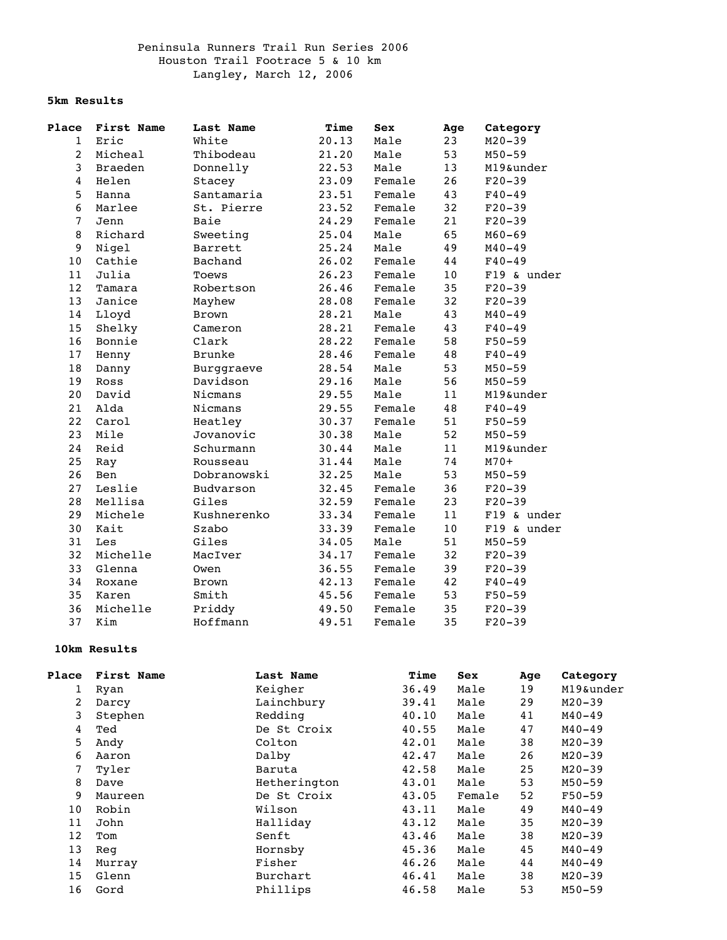## Peninsula Runners Trail Run Series 2006 Houston Trail Footrace 5 & 10 km Langley, March 12, 2006

## **5km Results**

| Place          | First Name | Last Name     | Time  | <b>Sex</b> | Age | Category    |  |
|----------------|------------|---------------|-------|------------|-----|-------------|--|
| $\mathbf{1}$   | Eric       | White         | 20.13 | Male       | 23  | $M20 - 39$  |  |
| $\overline{2}$ | Micheal    | Thibodeau     | 21.20 | Male       | 53  | $M50 - 59$  |  |
| 3              | Braeden    | Donnelly      | 22.53 | Male       | 13  | M19&under   |  |
| $\overline{4}$ | Helen      | Stacey        | 23.09 | Female     | 26  | $F20-39$    |  |
| 5              | Hanna      | Santamaria    | 23.51 | Female     | 43  | $F40 - 49$  |  |
| 6              | Marlee     | St. Pierre    | 23.52 | Female     | 32  | $F20-39$    |  |
| $\overline{7}$ | Jenn       | Baie          | 24.29 | Female     | 21  | $F20-39$    |  |
| 8              | Richard    | Sweeting      | 25.04 | Male       | 65  | $M60 - 69$  |  |
| 9              | Nigel      | Barrett       | 25.24 | Male       | 49  | $M40 - 49$  |  |
| $10$           | Cathie     | Bachand       | 26.02 | Female     | 44  | $F40 - 49$  |  |
| 11             | Julia      | Toews         | 26.23 | Female     | 10  | F19 & under |  |
| 12             | Tamara     | Robertson     | 26.46 | Female     | 35  | $F20-39$    |  |
| 13             | Janice     | Mayhew        | 28.08 | Female     | 32  | $F20-39$    |  |
| 14             | Lloyd      | <b>Brown</b>  | 28.21 | Male       | 43  | $M40 - 49$  |  |
| 15             | Shelky     | Cameron       | 28.21 | Female     | 43  | $F40 - 49$  |  |
| 16             | Bonnie     | Clark         | 28.22 | Female     | 58  | $F50 - 59$  |  |
| 17             | Henny      | <b>Brunke</b> | 28.46 | Female     | 48  | $F40 - 49$  |  |
| 18             | Danny      | Burggraeve    | 28.54 | Male       | 53  | $M50 - 59$  |  |
| 19             | Ross       | Davidson      | 29.16 | Male       | 56  | $M50 - 59$  |  |
| 20             | David      | Nicmans       | 29.55 | Male       | 11  | M19&under   |  |
| 21             | Alda       | Nicmans       | 29.55 | Female     | 48  | $F40 - 49$  |  |
| 22             | Carol      | Heatley       | 30.37 | Female     | 51  | $F50 - 59$  |  |
| 23             | Mile       | Jovanovic     | 30.38 | Male       | 52  | $M50 - 59$  |  |
| 24             | Reid       | Schurmann     | 30.44 | Male       | 11  | M19&under   |  |
| 25             | Ray        | Rousseau      | 31.44 | Male       | 74  | $M70+$      |  |
| 26             | Ben        | Dobranowski   | 32.25 | Male       | 53  | $M50 - 59$  |  |
| 27             | Leslie     | Budvarson     | 32.45 | Female     | 36  | $F20-39$    |  |
| 28             | Mellisa    | Giles         | 32.59 | Female     | 23  | $F20-39$    |  |
| 29             | Michele    | Kushnerenko   | 33.34 | Female     | 11  | F19 & under |  |
| 30             | Kait       | Szabo         | 33.39 | Female     | 10  | F19 & under |  |
| 31             | Les        | Giles         | 34.05 | Male       | 51  | $M50 - 59$  |  |
| 32             | Michelle   | MacIver       | 34.17 | Female     | 32  | $F20-39$    |  |
| 33             | Glenna     | Owen          | 36.55 | Female     | 39  | $F20-39$    |  |
| 34             | Roxane     | Brown         | 42.13 | Female     | 42  | $F40 - 49$  |  |
| 35             | Karen      | Smith         | 45.56 | Female     | 53  | $F50 - 59$  |  |
| 36             | Michelle   | Priddy        | 49.50 | Female     | 35  | $F20-39$    |  |
| 37             | Kim        | Hoffmann      | 49.51 | Female     | 35  | $F20-39$    |  |

## **10km Results**

| Place | First Name | Last Name    | Time  | Sex    | Age | Category   |
|-------|------------|--------------|-------|--------|-----|------------|
| 1     | Ryan       | Keigher      | 36.49 | Male   | 19  | M19&under  |
| 2     | Darcy      | Lainchbury   | 39.41 | Male   | 29  | $M20 - 39$ |
| 3     | Stephen    | Redding      | 40.10 | Male   | 41  | $M40 - 49$ |
| 4     | Ted        | De St Croix  | 40.55 | Male   | 47  | $M40 - 49$ |
| 5     | Andy       | Colton       | 42.01 | Male   | 38  | $M20 - 39$ |
| 6     | Aaron      | Dalby        | 42.47 | Male   | 26  | $M20 - 39$ |
| 7     | Tyler      | Baruta       | 42.58 | Male   | 25  | $M20 - 39$ |
| 8     | Dave       | Hetherington | 43.01 | Male   | 53  | $M50 - 59$ |
| 9     | Maureen    | De St Croix  | 43.05 | Female | 52  | $F50-59$   |
| 10    | Robin      | Wilson       | 43.11 | Male   | 49  | $M40 - 49$ |
| 11    | John       | Halliday     | 43.12 | Male   | 35  | $M20 - 39$ |
| 12    | Tom        | Senft        | 43.46 | Male   | 38  | $M20 - 39$ |
| 13    | Reg        | Hornsby      | 45.36 | Male   | 45  | $M40 - 49$ |
| 14    | Murray     | Fisher       | 46.26 | Male   | 44  | $M40 - 49$ |
| 15    | Glenn      | Burchart     | 46.41 | Male   | 38  | $M20 - 39$ |
| 16    | Gord       | Phillips     | 46.58 | Male   | 53  | $M50 - 59$ |